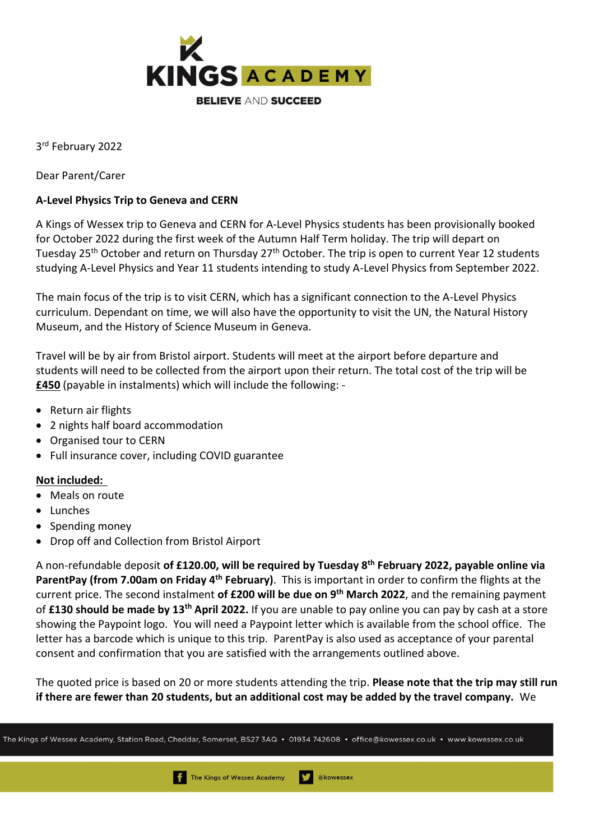

3 rd February 2022

Dear Parent/Carer

## **A-Level Physics Trip to Geneva and CERN**

A Kings of Wessex trip to Geneva and CERN for A-Level Physics students has been provisionally booked for October 2022 during the first week of the Autumn Half Term holiday. The trip will depart on Tuesday 25<sup>th</sup> October and return on Thursday 27<sup>th</sup> October. The trip is open to current Year 12 students studying A-Level Physics and Year 11 students intending to study A-Level Physics from September 2022.

The main focus of the trip is to visit CERN, which has a significant connection to the A-Level Physics curriculum. Dependant on time, we will also have the opportunity to visit the UN, the Natural History Museum, and the History of Science Museum in Geneva.

Travel will be by air from Bristol airport. Students will meet at the airport before departure and students will need to be collected from the airport upon their return. The total cost of the trip will be **£450** (payable in instalments) which will include the following: -

- Return air flights
- 2 nights half board accommodation
- Organised tour to CERN
- Full insurance cover, including COVID guarantee

## **Not included:**

- Meals on route
- Lunches
- Spending money
- Drop off and Collection from Bristol Airport

A non-refundable deposit **of £120.00, will be required by Tuesday 8th February 2022, payable online via ParentPay (from 7.00am on Friday 4th February)**. This is important in order to confirm the flights at the current price. The second instalment **of £200 will be due on 9 th March 2022**, and the remaining payment of **£130 should be made by 13 th April 2022.** If you are unable to pay online you can pay by cash at a store showing the Paypoint logo. You will need a Paypoint letter which is available from the school office. The letter has a barcode which is unique to this trip. ParentPay is also used as acceptance of your parental consent and confirmation that you are satisfied with the arrangements outlined above.

The quoted price is based on 20 or more students attending the trip. **Please note that the trip may still run if there are fewer than 20 students, but an additional cost may be added by the travel company.** We

The Kings of Wessex Academy, Station Road, Cheddar, Somerset, BS27 3AQ • 01934 742608 • office@kowessex.co.uk • www.kowessex.co.uk